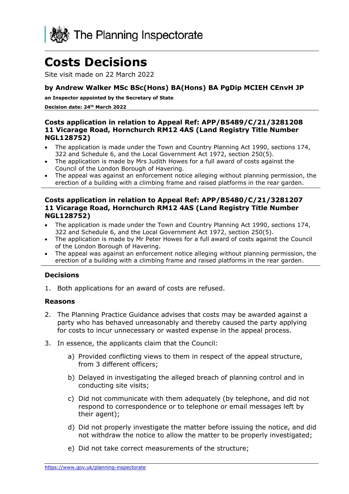

# **Costs Decisions**

Site visit made on 22 March 2022

# **by Andrew Walker MSc BSc(Hons) BA(Hons) BA PgDip MCIEH CEnvH JP**

**an Inspector appointed by the Secretary of State**

**Decision date: 24th March 2022**

### **Costs application in relation to Appeal Ref: APP/B5489/C/21/3281208 11 Vicarage Road, Hornchurch RM12 4AS (Land Registry Title Number NGL128752)**

- The application is made under the Town and Country Planning Act 1990, sections 174, 322 and Schedule 6, and the Local Government Act 1972, section 250(5).
- The application is made by Mrs Judith Howes for a full award of costs against the Council of the London Borough of Havering.
- The appeal was against an enforcement notice alleging without planning permission, the erection of a building with a climbing frame and raised platforms in the rear garden.

#### **Costs application in relation to Appeal Ref: APP/B5480/C/21/3281207 11 Vicarage Road, Hornchurch RM12 4AS (Land Registry Title Number NGL128752)**

- The application is made under the Town and Country Planning Act 1990, sections 174, 322 and Schedule 6, and the Local Government Act 1972, section 250(5).
- The application is made by Mr Peter Howes for a full award of costs against the Council of the London Borough of Havering.
- The appeal was against an enforcement notice alleging without planning permission, the erection of a building with a climbing frame and raised platforms in the rear garden.

## **Decisions**

1. Both applications for an award of costs are refused.

#### **Reasons**

- 2. The Planning Practice Guidance advises that costs may be awarded against a party who has behaved unreasonably and thereby caused the party applying for costs to incur unnecessary or wasted expense in the appeal process.
- 3. In essence, the applicants claim that the Council:
	- a) Provided conflicting views to them in respect of the appeal structure, from 3 different officers;
	- b) Delayed in investigating the alleged breach of planning control and in conducting site visits;
	- c) Did not communicate with them adequately (by telephone, and did not respond to correspondence or to telephone or email messages left by their agent);
	- d) Did not properly investigate the matter before issuing the notice, and did not withdraw the notice to allow the matter to be properly investigated;
	- e) Did not take correct measurements of the structure;